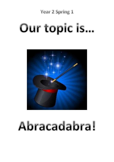# **Year 2 Spring 1**

# Our topic is...



# Abracadabra!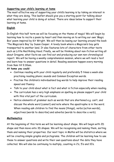#### **Supporting your child's learning at home**

The most effective way of supporting your child's learning is by taking an interest in what they are doing. This leaflet should give you a starting point for talking about what learning your child is doing at school. There are ideas below to support their learning at home.

### **English**

In English this half term we will be focusing on the theme of magic! We will begin by learning how to recite a poem by heart and then moving on to writing our own 'Magic Box' poem inspired by Kit Wright. We will then be basing our learning around the book 'The Magician's Boy' by Susan Cooper. A lovely book where a Magician's boy gets transported to another land. It also features lots of characters from other texts such as Little Red Riding Hood. Finally, we will be thinking about non-fiction writing all about Dragons, what facts we can find out and producing our own non-chronological report. We will be having a weekly comprehension session, where we will read a text and learn how to answer questions in detail. Reading sessions happen every morning from 9am till 9.30am.

#### **At home you could:**

- Continue reading with your child regularly and preferably 5 times a week also practising reading phonic sounds and Common Exception words.
- Practise the children's individualised bug words to help improve their reading speed and fluency
- Talk to your child about what is fact and what is fiction especially when reading.
- The curriculum has a very high emphasis on spelling so please support your child with this vital part of the curriculum.
- Notice elements of grammar such as words that are shortened e.g. can't, and discuss the whole word (cannot) and note where the apostrophe is in the word. When reading ask children to find the nouns (things), verbs (action words), adjectives (words to describe) and adverbs (words to describe a verb).

#### **Mathematics**

At the beginning of this term we will be learning about shape. We will begin with 2D shape and then move onto 3D shapes. We will be recognising and naming them, sorting them and naming their properties. Our next topic in Maths will be statistics where we will be creating simple graphs and pictograms. The children will be learning how to use these to answer questions and write their own questions about the data they have collected. We will also be continuing to multiply, counting in 2's, 5's and 10's.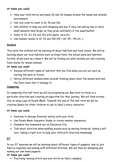#### **At home you could:**

- Help your child notice and name 2D and 3D shapes around the house and outside environment.
- Use real coins to count in 2s, 5s and 10s.
- Ask children to help you with shopping and see if they can add up two or more small amounts (and larger as they grow confident) in the supermarket.
- Count in 2's, 3's, 5's and 10's with pasta, cars etc.
- Use number bonds to 10, 20 and 100  $(40 + 60, 55 + 45$  etc..)

#### **Science**

This term the children will be learning all about habitats and food chains. We will be learning about our local habitats such as King's Pond, the school pond and habitats further afield such as a desert. We will be finding out what animals eat and creating food chains for known animals.

#### **At home you could:**

- Discuss different types of habitats that you find when you are out such as visiting the park or forest.
- Notice different animals when outside thinking about what the animal eats and the food chain that it belongs to.

#### **Computing**

In computing this half term we will be programing our Bee-bots to travel in a particular direction and creating an algorithm for that journey. We will then extend this to using Logo on Purple Mash. Towards the end of the half term we will be creating labels for other children to use to label a story character.

#### **At home you could:**

- Continue to discuss Internet safety with your child.
- Use Purple Mash Sequence Snake to create number sequences.
- Complete the homework set on Education City.
- Talk about direction when walking around such as moving forwards, taking a left turn, taking a right turn to help your child with direction knowledge.

#### **DT**

In our DT sessions we will be learning about different types of puppets, how to join fabrics together and sewing with different stitches. We will then be designing and making our own hand puppets.

#### **At home you could:**

• Practising running stitch and over stitch on fabric samples.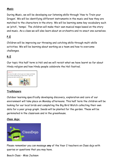#### **Music**

During Music, we will be developing our listening skills through 'How to Train your Dragon'. We will be identifying different instruments in the music and how they are matched to the characters in the story. We will be learning some key vocabulary such as 'pitch', 'tempo'. The children will make their own musical maps based on the story and music. As a class we will also learn about an orchestra and re-enact one ourselves.

### **P.E**

Children will be improving our throwing and catching skills through multi-skills activities. We will be learning about working as a team and how to overcome challenges.

## **R.E**

Our topic this half term is Holi and we will revisit what we have learnt so far about Hindu religion and how Hindu people celebrate the Holi festival.



#### **Trailblazers**

Outdoor learning specifically developing discovery, exploration and care of our environment will take place on Monday afternoons. This half term the children will be looking for our local birds and completing the Big Bird Watch collecting their own data for a year group graph. Seeds will be planted for the garden. These will be germinated in the classroom and in the greenhouse.

#### **Class dojo:**



Please remember you can message **any** of the Year 2 teachers on Class dojo with queries or questions that you may have.

Beech Class - Miss Jackson